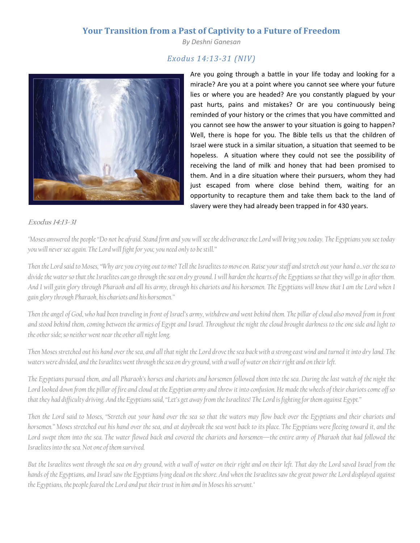# Your Transition from a Past of Captivity to a Future of Freedom

By Deshni Ganesan

# Exodus 14:13-31 (NIV)



Are you going through a battle in your life today and looking for a miracle? Are you at a point where you cannot see where your future lies or where you are headed? Are you constantly plagued by your past hurts, pains and mistakes? Or are you continuously being reminded of your history or the crimes that you have committed and you cannot see how the answer to your situation is going to happen? Well, there is hope for you. The Bible tells us that the children of Israel were stuck in a similar situation, a situation that seemed to be hopeless. A situation where they could not see the possibility of receiving the land of milk and honey that had been promised to them. And in a dire situation where their pursuers, whom they had just escaped from where close behind them, waiting for an opportunity to recapture them and take them back to the land of slavery were they had already been trapped in for 430 years.

### Exodus 14:13-31

"Moses answered the people "Do not be afraid. Stand firm and you will see the deliverance the Lord will bring you today. The Egyptians you see today you will never see again. The Lord will fight for you; you need only to be still."

Then the Lord said to Moses, "Why are you crying out to me? Tell the Israelites to move on. Raise your staff and stretch out your hand o...ver the sea to divide the water so that the Israelites can go through the sea on dry ground. I will harden the hearts of the Egyptians so that they will go in after them. And I will gain glory through Pharaoh and all his army, through his chariots and his horsemen. The Egyptians will know that I am the Lord when I gain glory through Pharaoh, his chariots and his horsemen."

Then the angel of God, who had been traveling in front of Israel's army, withdrew and went behind them. The pillar of cloud also moved from in front and stood behind them, coming between the armies of Egypt and Israel. Throughout the night the cloud brought darkness to the one side and light to the other side; so neither went near the other all night long.

Then Moses stretched out his hand over the sea, and all that night the Lord drove the sea back with a strong east wind and turned it into dry land. The waters were divided, and the Israelites went through the sea on dry ground, with a wall of water on their right and on their left.

The Egyptians pursued them, and all Pharaoh's horses and chariots and horsemen followed them into the sea. During the last watch of the night the Lord looked down from the pillar of fire and cloud at the Egyptian army and threw it into confusion. He made the wheels of their chariots come off so that they had difficulty driving. And the Egyptians said, "Let's get away from the Israelites! The Lord is fighting for them against Egypt."

Then the Lord said to Moses, "Stretch out your hand over the sea so that the waters may flow back over the Egyptians and their chariots and horsemen." Moses stretched out his hand over the sea, and at daybreak the sea went back to its place. The Egyptians were fleeing toward it, and the Lord swept them into the sea. The water flowed back and covered the chariots and horsemen—the entire army of Pharaoh that had followed the Israelites into the sea. Not one of them survived.

But the Israelites went through the sea on dry ground, with a wall of water on their right and on their left. That day the Lord saved Israel from the hands of the Egyptians, and Israel saw the Egyptians lying dead on the shore. And when the Israelites saw the great power the Lord displayed against the Egyptians, the people feared the Lord and put their trust in him and in Moses his servant."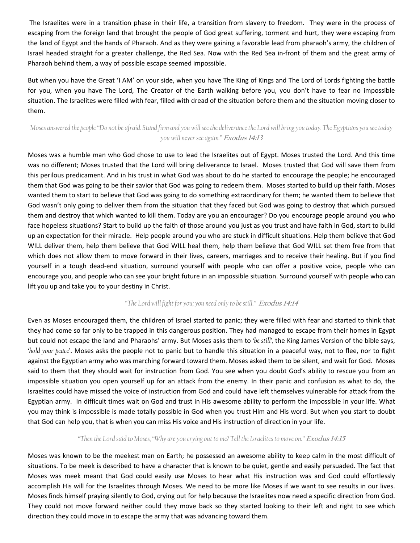The Israelites were in a transition phase in their life, a transition from slavery to freedom. They were in the process of escaping from the foreign land that brought the people of God great suffering, torment and hurt, they were escaping from the land of Egypt and the hands of Pharaoh. And as they were gaining a favorable lead from pharaoh's army, the children of Israel headed straight for a greater challenge, the Red Sea. Now with the Red Sea in-front of them and the great army of Pharaoh behind them, a way of possible escape seemed impossible.

But when you have the Great 'I AM' on your side, when you have The King of Kings and The Lord of Lords fighting the battle for you, when you have The Lord, The Creator of the Earth walking before you, you don't have to fear no impossible situation. The Israelites were filled with fear, filled with dread of the situation before them and the situation moving closer to them.

Moses answered the people "Do not be afraid. Stand firm and you will see the deliverance the Lord will bring you today. The Egyptians you see today you will never see again." Exodus 14:13

Moses was a humble man who God chose to use to lead the Israelites out of Egypt. Moses trusted the Lord. And this time was no different; Moses trusted that the Lord will bring deliverance to Israel. Moses trusted that God will save them from this perilous predicament. And in his trust in what God was about to do he started to encourage the people; he encouraged them that God was going to be their savior that God was going to redeem them. Moses started to build up their faith. Moses wanted them to start to believe that God was going to do something extraordinary for them; he wanted them to believe that God wasn't only going to deliver them from the situation that they faced but God was going to destroy that which pursued them and destroy that which wanted to kill them. Today are you an encourager? Do you encourage people around you who face hopeless situations? Start to build up the faith of those around you just as you trust and have faith in God, start to build up an expectation for their miracle. Help people around you who are stuck in difficult situations. Help them believe that God WILL deliver them, help them believe that God WILL heal them, help them believe that God WILL set them free from that which does not allow them to move forward in their lives, careers, marriages and to receive their healing. But if you find yourself in a tough dead-end situation, surround yourself with people who can offer a positive voice, people who can encourage you, and people who can see your bright future in an impossible situation. Surround yourself with people who can lift you up and take you to your destiny in Christ.

### "The Lord will fight for you; you need only to be still." Exodus 14:14

Even as Moses encouraged them, the children of Israel started to panic; they were filled with fear and started to think that they had come so far only to be trapped in this dangerous position. They had managed to escape from their homes in Egypt but could not escape the land and Pharaohs' army. But Moses asks them to 'be still', the King James Version of the bible says, 'hold your peace'. Moses asks the people not to panic but to handle this situation in a peaceful way, not to flee, nor to fight against the Egyptian army who was marching forward toward them. Moses asked them to be silent, and wait for God. Moses said to them that they should wait for instruction from God. You see when you doubt God's ability to rescue you from an impossible situation you open yourself up for an attack from the enemy. In their panic and confusion as what to do, the Israelites could have missed the voice of instruction from God and could have left themselves vulnerable for attack from the Egyptian army. In difficult times wait on God and trust in His awesome ability to perform the impossible in your life. What you may think is impossible is made totally possible in God when you trust Him and His word. But when you start to doubt that God can help you, that is when you can miss His voice and His instruction of direction in your life.

### "Then the Lord said to Moses, "Why are you crying out to me? Tell the Israelites to move on." Exodus 14:15

Moses was known to be the meekest man on Earth; he possessed an awesome ability to keep calm in the most difficult of situations. To be meek is described to have a character that is known to be quiet, gentle and easily persuaded. The fact that Moses was meek meant that God could easily use Moses to hear what His instruction was and God could effortlessly accomplish His will for the Israelites through Moses. We need to be more like Moses if we want to see results in our lives. Moses finds himself praying silently to God, crying out for help because the Israelites now need a specific direction from God. They could not move forward neither could they move back so they started looking to their left and right to see which direction they could move in to escape the army that was advancing toward them.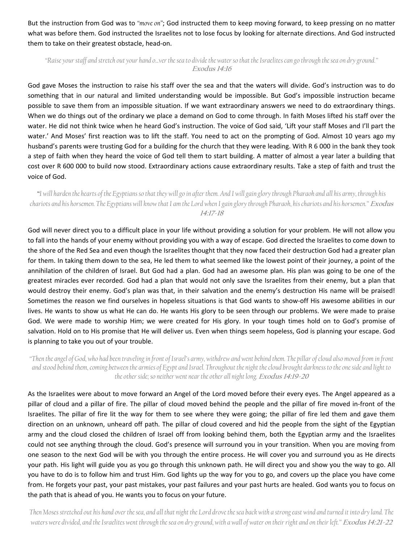But the instruction from God was to "move on"; God instructed them to keep moving forward, to keep pressing on no matter what was before them. God instructed the Israelites not to lose focus by looking for alternate directions. And God instructed them to take on their greatest obstacle, head-on.

### "Raise your staff and stretch out your hand o...ver the sea to divide the water so that the Israelites can go through the sea on dry ground." Exodus 14:16

God gave Moses the instruction to raise his staff over the sea and that the waters will divide. God's instruction was to do something that in our natural and limited understanding would be impossible. But God's impossible instruction became possible to save them from an impossible situation. If we want extraordinary answers we need to do extraordinary things. When we do things out of the ordinary we place a demand on God to come through. In faith Moses lifted his staff over the water. He did not think twice when he heard God's instruction. The voice of God said, 'Lift your staff Moses and I'll part the water.' And Moses' first reaction was to lift the staff. You need to act on the prompting of God. Almost 10 years ago my husband's parents were trusting God for a building for the church that they were leading. With R 6 000 in the bank they took a step of faith when they heard the voice of God tell them to start building. A matter of almost a year later a building that cost over R 600 000 to build now stood. Extraordinary actions cause extraordinary results. Take a step of faith and trust the voice of God.

"I will harden the hearts of the Egyptians so that they will go in after them. And I will gain glory through Pharaoh and all his army, through his chariots and his horsemen. The Egyptians will know that I am the Lord when I gain glory through Pharaoh, his chariots and his horsemen." Exodus 14:17-18

God will never direct you to a difficult place in your life without providing a solution for your problem. He will not allow you to fall into the hands of your enemy without providing you with a way of escape. God directed the Israelites to come down to the shore of the Red Sea and even though the Israelites thought that they now faced their destruction God had a greater plan for them. In taking them down to the sea, He led them to what seemed like the lowest point of their journey, a point of the annihilation of the children of Israel. But God had a plan. God had an awesome plan. His plan was going to be one of the greatest miracles ever recorded. God had a plan that would not only save the Israelites from their enemy, but a plan that would destroy their enemy. God's plan was that, in their salvation and the enemy's destruction His name will be praised! Sometimes the reason we find ourselves in hopeless situations is that God wants to show-off His awesome abilities in our lives. He wants to show us what He can do. He wants His glory to be seen through our problems. We were made to praise God. We were made to worship Him; we were created for His glory. In your tough times hold on to God's promise of salvation. Hold on to His promise that He will deliver us. Even when things seem hopeless, God is planning your escape. God is planning to take you out of your trouble.

"Then the angel of God, who had been traveling in front of Israel's army, withdrew and went behind them. The pillar of cloud also moved from in front and stood behind them, coming between the armies of Egypt and Israel. Throughout the night the cloud brought darkness to the one side and light to the other side; so neither went near the other all night long. Exodus 14:19-20

As the Israelites were about to move forward an Angel of the Lord moved before their every eyes. The Angel appeared as a pillar of cloud and a pillar of fire. The pillar of cloud moved behind the people and the pillar of fire moved in-front of the Israelites. The pillar of fire lit the way for them to see where they were going; the pillar of fire led them and gave them direction on an unknown, unheard off path. The pillar of cloud covered and hid the people from the sight of the Egyptian army and the cloud closed the children of Israel off from looking behind them, both the Egyptian army and the Israelites could not see anything through the cloud. God's presence will surround you in your transition. When you are moving from one season to the next God will be with you through the entire process. He will cover you and surround you as He directs your path. His light will guide you as you go through this unknown path. He will direct you and show you the way to go. All you have to do is to follow him and trust Him. God lights up the way for you to go, and covers up the place you have come from. He forgets your past, your past mistakes, your past failures and your past hurts are healed. God wants you to focus on the path that is ahead of you. He wants you to focus on your future.

Then Moses stretched out his hand over the sea, and all that night the Lord drove the sea back with a strong east wind and turned it into dry land. The waters were divided, and the Israelites went through the sea on dry ground, with a wall of water on their right and on their left." Exodus 14:21-22